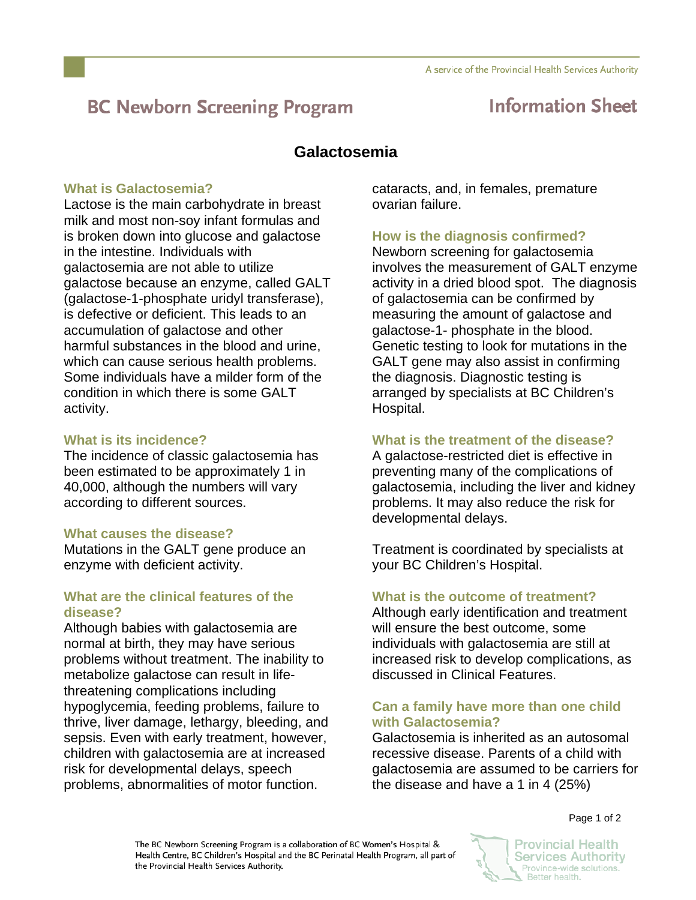# **BC Newborn Screening Program**

## **Information Sheet**

## **Galactosemia**

### **What is Galactosemia?**

Lactose is the main carbohydrate in breast milk and most non-soy infant formulas and is broken down into glucose and galactose in the intestine. Individuals with galactosemia are not able to utilize galactose because an enzyme, called GALT (galactose-1-phosphate uridyl transferase), is defective or deficient. This leads to an accumulation of galactose and other harmful substances in the blood and urine, which can cause serious health problems. Some individuals have a milder form of the condition in which there is some GALT activity.

### **What is its incidence?**

The incidence of classic galactosemia has been estimated to be approximately 1 in 40,000, although the numbers will vary according to different sources.

### **What causes the disease?**

Mutations in the GALT gene produce an enzyme with deficient activity.

#### **What are the clinical features of the disease?**

Although babies with galactosemia are normal at birth, they may have serious problems without treatment. The inability to metabolize galactose can result in lifethreatening complications including hypoglycemia, feeding problems, failure to thrive, liver damage, lethargy, bleeding, and sepsis. Even with early treatment, however, children with galactosemia are at increased risk for developmental delays, speech problems, abnormalities of motor function.

cataracts, and, in females, premature ovarian failure.

## **How is the diagnosis confirmed?**

Newborn screening for galactosemia involves the measurement of GALT enzyme activity in a dried blood spot. The diagnosis of galactosemia can be confirmed by measuring the amount of galactose and galactose-1- phosphate in the blood. Genetic testing to look for mutations in the GALT gene may also assist in confirming the diagnosis. Diagnostic testing is arranged by specialists at BC Children's Hospital.

### **What is the treatment of the disease?**

A galactose-restricted diet is effective in preventing many of the complications of galactosemia, including the liver and kidney problems. It may also reduce the risk for developmental delays.

Treatment is coordinated by specialists at your BC Children's Hospital.

### **What is the outcome of treatment?**

Although early identification and treatment will ensure the best outcome, some individuals with galactosemia are still at increased risk to develop complications, as discussed in Clinical Features.

#### **Can a family have more than one child with Galactosemia?**

Galactosemia is inherited as an autosomal recessive disease. Parents of a child with galactosemia are assumed to be carriers for the disease and have a 1 in 4 (25%)

Page 1 of 2